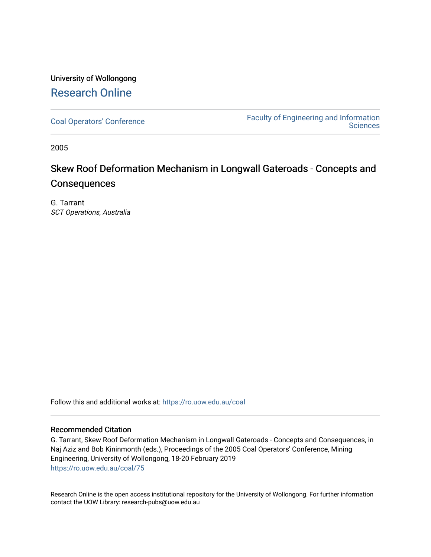## University of Wollongong [Research Online](https://ro.uow.edu.au/)

[Coal Operators' Conference](https://ro.uow.edu.au/coal) [Faculty of Engineering and Information](https://ro.uow.edu.au/eis)  **Sciences** 

2005

# Skew Roof Deformation Mechanism in Longwall Gateroads - Concepts and **Consequences**

G. Tarrant SCT Operations, Australia

Follow this and additional works at: [https://ro.uow.edu.au/coal](https://ro.uow.edu.au/coal?utm_source=ro.uow.edu.au%2Fcoal%2F75&utm_medium=PDF&utm_campaign=PDFCoverPages) 

## Recommended Citation

G. Tarrant, Skew Roof Deformation Mechanism in Longwall Gateroads - Concepts and Consequences, in Naj Aziz and Bob Kininmonth (eds.), Proceedings of the 2005 Coal Operators' Conference, Mining Engineering, University of Wollongong, 18-20 February 2019 [https://ro.uow.edu.au/coal/75](https://ro.uow.edu.au/coal/75?utm_source=ro.uow.edu.au%2Fcoal%2F75&utm_medium=PDF&utm_campaign=PDFCoverPages) 

Research Online is the open access institutional repository for the University of Wollongong. For further information contact the UOW Library: research-pubs@uow.edu.au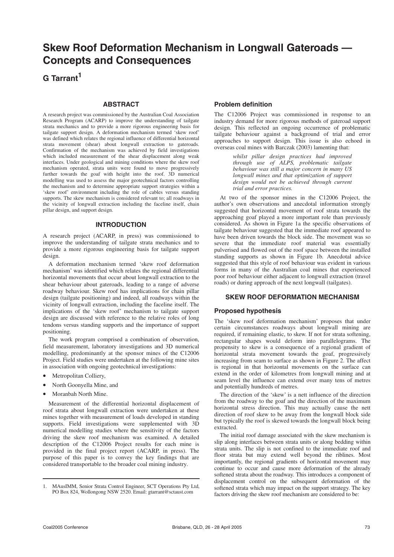## **Skew Roof Deformation Mechanism in Longwall Gateroads — Concepts and Consequences**

**G Tarrant<sup>1</sup>**

## **ABSTRACT**

A research project was commissioned by the Australian Coal Association Research Program (ACARP) to improve the understanding of tailgate strata mechanics and to provide a more rigorous engineering basis for tailgate support design. A deformation mechanism termed 'skew roof' was defined which relates the regional influence of differential horizontal strata movement (shear) about longwall extraction to gateroads. Confirmation of the mechanism was achieved by field investigations which included measurement of the shear displacement along weak interfaces. Under geological and mining conditions where the skew roof mechanism operated, strata units were found to move progressively further towards the goaf with height into the roof. 3D numerical modelling was used to assess the major geotechnical factors controlling the mechanism and to determine appropriate support strategies within a 'skew roof' environment including the role of cables versus standing supports. The skew mechanism is considered relevant to; all roadways in the vicinity of longwall extraction including the faceline itself, chain pillar design, and support design.

#### **INTRODUCTION**

A research project (ACARP, in press) was commissioned to improve the understanding of tailgate strata mechanics and to provide a more rigorous engineering basis for tailgate support design.

A deformation mechanism termed 'skew roof deformation mechanism' was identified which relates the regional differential horizontal movements that occur about longwall extraction to the shear behaviour about gateroads, leading to a range of adverse roadway behaviour. Skew roof has implications for chain pillar design (tailgate positioning) and indeed, all roadways within the vicinity of longwall extraction, including the faceline itself. The implications of the 'skew roof' mechanism to tailgate support design are discussed with reference to the relative roles of long tendons versus standing supports and the importance of support positioning.

The work program comprised a combination of observation, field measurement, laboratory investigations and 3D numerical modelling, predominantly at the sponsor mines of the C12006 Project. Field studies were undertaken at the following mine sites in association with ongoing geotechnical investigations:

- Metropolitan Colliery,
- North Goonyella Mine, and
- Moranbah North Mine.

Measurement of the differential horizontal displacement of roof strata about longwall extraction were undertaken at these mines together with measurement of loads developed in standing supports. Field investigations were supplemented with 3D numerical modelling studies where the sensitivity of the factors driving the skew roof mechanism was examined. A detailed description of the C12006 Project results for each mine is provided in the final project report (ACARP, in press). The purpose of this paper is to convey the key findings that are considered transportable to the broader coal mining industry.

## **Problem definition**

The C12006 Project was commissioned in response to an industry demand for more rigorous methods of gateroad support design. This reflected an ongoing occurrence of problematic tailgate behaviour against a background of trial and error approaches to support design. This issue is also echoed in overseas coal mines with Barczak (2003) lamenting that:

> *whilst pillar design practices had improved through use of ALPS, problematic tailgate behaviour was still a major concern in many US longwall mines and that optimization of support design would not be achieved through current trial and error practices.*

At two of the sponsor mines in the C12006 Project, the author's own observations and anecdotal information strongly suggested that horizontal movement of roof strata towards the approaching goaf played a more important role than previously considered. As shown in Figure 1a the specific observations of tailgate behaviour suggested that the immediate roof appeared to have been driven towards the block side. The movement was so severe that the immediate roof material was essentially pulverised and flowed out of the roof space between the installed standing supports as shown in Figure 1b. Anecdotal advice suggested that this style of roof behaviour was evident in various forms in many of the Australian coal mines that experienced poor roof behaviour either adjacent to longwall extraction (travel roads) or during approach of the next longwall (tailgates).

## **SKEW ROOF DEFORMATION MECHANISM**

#### **Proposed hypothesis**

The 'skew roof deformation mechanism' proposes that under certain circumstances roadways about longwall mining are required, if remaining elastic, to skew. If not for strata softening, rectangular shapes would deform into parallelograms. The propensity to skew is a consequence of a regional gradient of horizontal strata movement towards the goaf, progressively increasing from seam to surface as shown in Figure 2. The affect is regional in that horizontal movements on the surface can extend in the order of kilometres from longwall mining and at seam level the influence can extend over many tens of metres and potentially hundreds of metres.

The direction of the 'skew' is a nett influence of the direction from the roadway to the goaf and the direction of the maximum horizontal stress direction. This may actually cause the nett direction of roof skew to be away from the longwall block side but typically the roof is skewed towards the longwall block being extracted.

The initial roof damage associated with the skew mechanism is slip along interfaces between strata units or along bedding within strata units. The slip is not confined to the immediate roof and floor strata but may extend well beyond the riblines. Most importantly, the regional gradients of horizontal movement may continue to occur and cause more deformation of the already softened strata about the roadway. This introduces a component of displacement control on the subsequent deformation of the softened strata which may impact on the support strategy. The key factors driving the skew roof mechanism are considered to be:

<sup>1.</sup> MAusIMM, Senior Strata Control Engineer, SCT Operations Pty Ltd, PO Box 824, Wollongong NSW 2520. Email: gtarrant@sctaust.com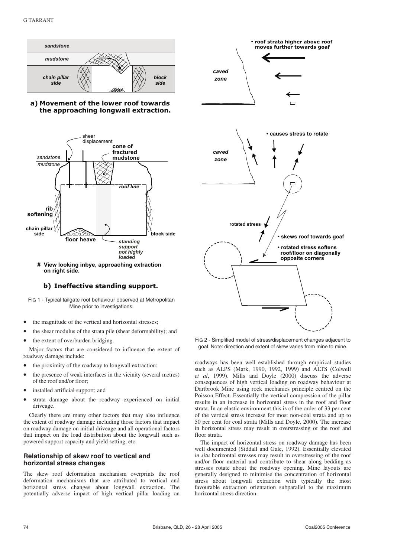





**# View looking inbye, approaching extraction on right side.**

## **b) Ineffective standing support.**

FIG 1 - Typical tailgate roof behaviour observed at Metropolitan Mine prior to investigations.

- the magnitude of the vertical and horizontal stresses;
- the shear modulus of the strata pile (shear deformability); and
- the extent of overburden bridging.

Major factors that are considered to influence the extent of roadway damage include:

- the proximity of the roadway to longwall extraction;
- the presence of weak interfaces in the vicinity (several metres) of the roof and/or floor;
- installed artificial support; and
- strata damage about the roadway experienced on initial driveage.

Clearly there are many other factors that may also influence the extent of roadway damage including those factors that impact on roadway damage on initial driveage and all operational factors that impact on the load distribution about the longwall such as powered support capacity and yield setting, etc.

#### **Relationship of skew roof to vertical and horizontal stress changes**

The skew roof deformation mechanism overprints the roof deformation mechanisms that are attributed to vertical and horizontal stress changes about longwall extraction. The potentially adverse impact of high vertical pillar loading on



FIG 2 - Simplified model of stress/displacement changes adjacent to goaf. Note: direction and extent of skew varies from mine to mine.

roadways has been well established through empirical studies such as ALPS (Mark, 1990, 1992, 1999) and ALTS (Colwell *et al*, 1999). Mills and Doyle (2000) discuss the adverse consequences of high vertical loading on roadway behaviour at Dartbrook Mine using rock mechanics principle centred on the Poisson Effect. Essentially the vertical compression of the pillar results in an increase in horizontal stress in the roof and floor strata. In an elastic environment this is of the order of 33 per cent of the vertical stress increase for most non-coal strata and up to 50 per cent for coal strata (Mills and Doyle, 2000). The increase in horizontal stress may result in overstressing of the roof and floor strata.

The impact of horizontal stress on roadway damage has been well documented (Siddall and Gale, 1992). Essentially elevated *in situ* horizontal stresses may result in overstressing of the roof and/or floor material and contribute to shear along bedding as stresses rotate about the roadway opening. Mine layouts are generally designed to minimise the concentration of horizontal stress about longwall extraction with typically the most favourable extraction orientation subparallel to the maximum horizontal stress direction.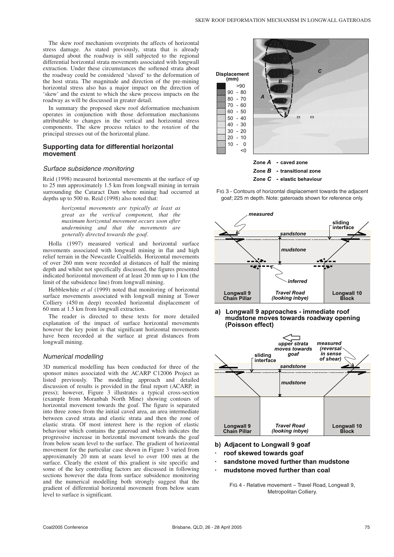The skew roof mechanism overprints the affects of horizontal stress damage. As stated previously, strata that is already damaged about the roadway is still subjected to the regional differential horizontal strata movements associated with longwall extraction. Under these circumstances the softened strata about the roadway could be considered 'slaved' to the deformation of the host strata. The magnitude and direction of the pre-mining horizontal stress also has a major impact on the direction of 'skew' and the extent to which the skew process impacts on the roadway as will be discussed in greater detail.

In summary the proposed skew roof deformation mechanism operates in conjunction with those deformation mechanisms attributable to changes in the vertical and horizontal stress components. The skew process relates to the *rotation* of the principal stresses out of the horizontal plane.

#### **Supporting data for differential horizontal movement**

#### Surface subsidence monitoring

Reid (1998) measured horizontal movements at the surface of up to 25 mm approximately 1.5 km from longwall mining in terrain surrounding the Cataract Dam where mining had occurred at depths up to 500 m. Reid (1998) also noted that:

> *horizontal movements are typically at least as great as the vertical component, that the maximum horizontal movement occurs soon after undermining and that the movements are generally directed towards the goaf.*

Holla (1997) measured vertical and horizontal surface movements associated with longwall mining in flat and high relief terrain in the Newcastle Coalfields. Horizontal movements of over 260 mm were recorded at distances of half the mining depth and whilst not specifically discussed, the figures presented indicated horizontal movement of at least 20 mm up to 1 km (the limit of the subsidence line) from longwall mining.

Hebblewhite *et al* (1999) noted that monitoring of horizontal surface movements associated with longwall mining at Tower Colliery (450 m deep) recorded horizontal displacement of 60 mm at 1.5 km from longwall extraction.

The reader is directed to these texts for more detailed explanation of the impact of surface horizontal movements however the key point is that significant horizontal movements have been recorded at the surface at great distances from longwall mining.

#### Numerical modelling

3D numerical modelling has been conducted for three of the sponsor mines associated with the ACARP C12006 Project as listed previously. The modelling approach and detailed discussion of results is provided in the final report (ACARP, in press); however, Figure 3 illustrates a typical cross-section (example from Moranbah North Mine) showing contours of horizontal movement towards the goaf. The figure is separated into three zones from the initial caved area, an area intermediate between caved strata and elastic strata and then the zone of elastic strata. Of most interest here is the region of elastic behaviour which contains the gateroad and which indicates the progressive increase in horizontal movement towards the goaf from below seam level to the surface. The gradient of horizontal movement for the particular case shown in Figure 3 varied from approximately 20 mm at seam level to over 100 mm at the surface. Clearly the extent of this gradient is site specific and some of the key controlling factors are discussed in following sections however the data from surface subsidence monitoring and the numerical modelling both strongly suggest that the gradient of differential horizontal movement from below seam level to surface is significant.



FIG 3 - Contours of horizontal displacement towards the adjacent goaf; 225 m depth. Note: gateroads shown for reference only.

**Zone C** - elastic behaviour



**a) Longwall 9 approaches - immediate roof mudstone moves towards roadway opening (Poisson effect)**



**b) Adjacent to Longwall 9 goaf**

- **· roof skewed towards goaf**
- **· sandstone moved further than mudstone**
- **· mudstone moved further than coal**

FIG 4 - Relative movement – Travel Road, Longwall 9, Metropolitan Colliery.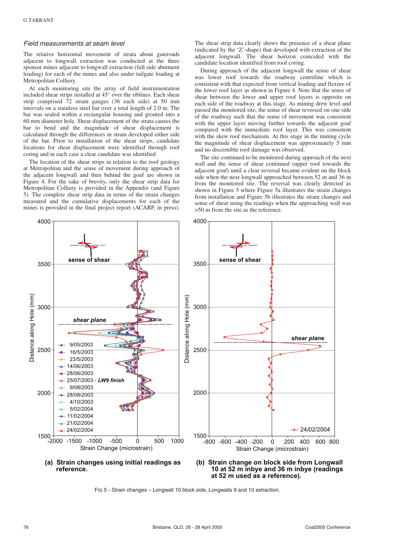#### Field measurements at seam level

The relative horizontal movement of strata about gateroads adjacent to longwall extraction was conducted at the three sponsor mines adjacent to longwall extraction (full side abutment loading) for each of the mines and also under tailgate loading at Metropolitan Colliery.

At each monitoring site the array of field instrumentation included shear strips installed at 45° over the riblines. Each shear strip comprised 72 strain gauges (36 each side) at 50 mm intervals on a stainless steel bar over a total length of 2.0 m. The bar was sealed within a rectangular housing and grouted into a 60 mm diameter hole. Shear displacement of the strata causes the bar to bend and the magnitude of shear displacement is calculated through the differences in strain developed either side of the bar. Prior to installation of the shear strips, candidate locations for shear displacement were identified through roof coring and in each case a clear candidate was identified.

The location of the shear strips in relation to the roof geology at Metropolitan and the sense of movement during approach of the adjacent longwall and then behind the goaf are shown in Figure 4. For the sake of brevity, only the shear strip data for Metropolitan Colliery is provided in the Appendix (and Figure 5). The complete shear strip data in terms of the strain changes measured and the cumulative displacements for each of the mines is provided in the final project report (ACARP, in press). The shear strip data clearly shows the presence of a shear plane (indicated by the 'Z' shape) that developed with extraction of the adjacent longwall. The shear horizon coincided with the candidate location identified from roof coring.

During approach of the adjacent longwall the sense of shear was lower roof towards the roadway centreline which is consistent with that expected from vertical loading and flexure of the lower roof layer as shown in Figure 4. Note that the sense of shear between the lower and upper roof layers is opposite on each side of the roadway at this stage. As mining drew level and passed the monitored site, the sense of shear reversed on one side of the roadway such that the sense of movement was consistent with the upper layer moving further towards the adjacent goaf compared with the immediate roof layer. This was consistent with the skew roof mechanism. At this stage in the mining cycle the magnitude of shear displacement was approximately 5 mm and no discernible roof damage was observed.

The site continued to be monitored during approach of the next wall and the sense of shear continued (upper roof towards the adjacent goaf) until a clear reversal became evident on the block side when the next longwall approached between 52 m and 36 m from the monitored site. The reversal was clearly detected as shown in Figure 5 where Figure 5a illustrates the strain changes from installation and Figure 5b illustrates the strain changes and sense of shear using the readings when the approaching wall was >50 m from the site as the reference.



4000

**at 52 m used as a reference).**

FIG 5 - Strain changes – Longwall 10 block side, Longwalls 9 and 10 extraction.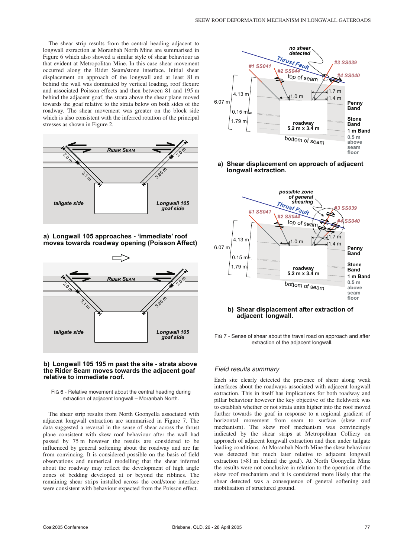The shear strip results from the central heading adjacent to longwall extraction at Moranbah North Mine are summarised in Figure 6 which also showed a similar style of shear behaviour as that evident at Metropolitan Mine. In this case shear movement occurred along the Rider Seam/stone interface. Initial shear displacement on approach of the longwall and at least 81 m behind the wall was dominated by vertical loading, roof flexure and associated Poisson effects and then between 81 and 195 m behind the adjacent goaf, the strata above the shear plane moved towards the goaf relative to the strata below on both sides of the roadway. The shear movement was greater on the block side which is also consistent with the inferred rotation of the principal stresses as shown in Figure 2.



**a) Longwall 105 approaches - 'immediate' roof moves towards roadway opening (Poisson Affect)**



#### **b) Longwall 105 195 m past the site - strata above the Rider Seam moves towards the adjacent goaf relative to immediate roof.**

FIG 6 - Relative movement about the central heading during extraction of adjacent longwall – Moranbah North.

The shear strip results from North Goonyella associated with adjacent longwall extraction are summarised in Figure 7. The data suggested a reversal in the sense of shear across the thrust plane consistent with skew roof behaviour after the wall had passed by 75 m however the results are considered to be influenced by general softening about the roadway and are far from convincing. It is considered possible on the basis of field observations and numerical modelling that the shear inferred about the roadway may reflect the development of high angle zones of bedding developed at or beyond the riblines. The remaining shear strips installed across the coal/stone interface were consistent with behaviour expected from the Poisson effect.



#### **a) Shear displacement on approach of adjacent longwall extraction.**



### **b) Shear displacement after extraction of adjacent longwall.**

FIG 7 - Sense of shear about the travel road on approach and after extraction of the adjacent longwall.

## Field results summary

Each site clearly detected the presence of shear along weak interfaces about the roadways associated with adjacent longwall extraction. This in itself has implications for both roadway and pillar behaviour however the key objective of the fieldwork was to establish whether or not strata units higher into the roof moved further towards the goaf in response to a regional gradient of horizontal movement from seam to surface (skew roof mechanism). The skew roof mechanism was convincingly indicated by the shear strips at Metropolitan Colliery on approach of adjacent longwall extraction and then under tailgate loading conditions. At Moranbah North Mine the skew behaviour was detected but much later relative to adjacent longwall extraction (>81 m behind the goaf). At North Goonyella Mine the results were not conclusive in relation to the operation of the skew roof mechanism and it is considered more likely that the shear detected was a consequence of general softening and mobilisation of structured ground.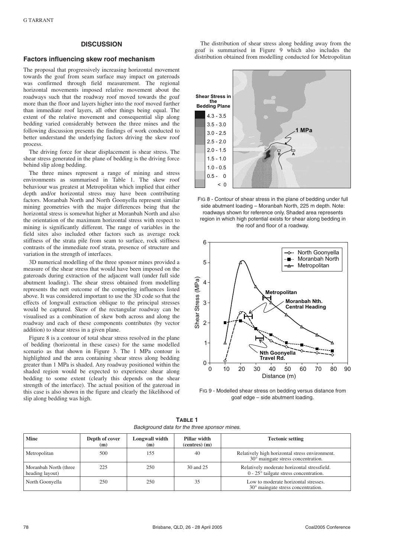#### **DISCUSSION**

#### **Factors influencing skew roof mechanism**

The proposal that progressively increasing horizontal movement towards the goaf from seam surface may impact on gateroads was confirmed through field measurement. The regional horizontal movements imposed relative movement about the roadways such that the roadway roof moved towards the goaf more than the floor and layers higher into the roof moved further than immediate roof layers, all other things being equal. The extent of the relative movement and consequential slip along bedding varied considerably between the three mines and the following discussion presents the findings of work conducted to better understand the underlying factors driving the skew roof process.

The driving force for shear displacement is shear stress. The shear stress generated in the plane of bedding is the driving force behind slip along bedding.

The three mines represent a range of mining and stress environments as summarised in Table 1. The skew roof behaviour was greatest at Metropolitan which implied that either depth and/or horizontal stress may have been contributing factors. Moranbah North and North Goonyella represent similar mining geometries with the major differences being that the horizontal stress is somewhat higher at Moranbah North and also the orientation of the maximum horizontal stress with respect to mining is significantly different. The range of variables in the field sites also included other factors such as average rock stiffness of the strata pile from seam to surface, rock stiffness contrasts of the immediate roof strata, presence of structure and variation in the strength of interfaces.

3D numerical modelling of the three sponsor mines provided a measure of the shear stress that would have been imposed on the gateroads during extraction of the adjacent wall (under full side abutment loading). The shear stress obtained from modelling represents the nett outcome of the competing influences listed above. It was considered important to use the 3D code so that the effects of longwall extraction oblique to the principal stresses would be captured. Skew of the rectangular roadway can be visualised as a combination of skew both across and along the roadway and each of these components contributes (by vector addition) to shear stress in a given plane.

Figure 8 is a contour of total shear stress resolved in the plane of bedding (horizontal in these cases) for the same modelled scenario as that shown in Figure 3. The 1 MPa contour is highlighted and the area containing shear stress along bedding greater than 1 MPa is shaded. Any roadway positioned within the shaded region would be expected to experience shear along bedding to some extent (clearly this depends on the shear strength of the interface). The actual position of the gateroad in this case is also shown in the figure and clearly the likelihood of slip along bedding was high.

The distribution of shear stress along bedding away from the goaf is summarised in Figure 9 which also includes the distribution obtained from modelling conducted for Metropolitan







FIG 9 - Modelled shear stress on bedding versus distance from goaf edge – side abutment loading.

| <b>Mine</b>                              | Depth of cover<br>(m) | Longwall width<br>(m) | Pillar width<br>$(centres)$ $(m)$ | <b>Tectonic setting</b>                                                                        |
|------------------------------------------|-----------------------|-----------------------|-----------------------------------|------------------------------------------------------------------------------------------------|
| Metropolitan                             | 500                   | 155                   | 40                                | Relatively high horizontal stress environment.<br>30° maingate stress concentration.           |
| Moranbah North (three<br>heading layout) | 225                   | 250                   | 30 and 25                         | Relatively moderate horizontal stressfield.<br>$0 - 25^{\circ}$ tailgate stress concentration. |
| North Goonyella                          | 250                   | 250                   | 35                                | Low to moderate horizontal stresses.<br>30° maingate stress concentration.                     |

**TABLE 1** Background data for the three sponsor mines.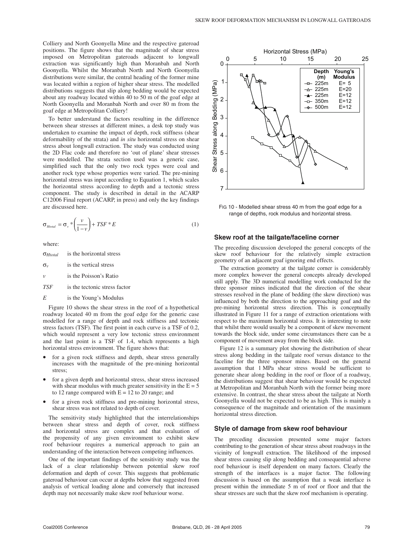Colliery and North Goonyella Mine and the respective gateroad positions. The figure shows that the magnitude of shear stress imposed on Metropolitan gateroads adjacent to longwall extraction was significantly high than Moranbah and North Goonyella. Whilst the Moranbah North and North Goonyella distributions were similar, the central heading of the former mine was located within a region of higher shear stress. The modelled distributions suggests that slip along bedding would be expected about any roadway located within 40 to 50 m of the goaf edge at North Goonyella and Moranbah North and over 80 m from the goaf edge at Metropolitan Colliery!

To better understand the factors resulting in the difference between shear stresses at different mines, a desk top study was undertaken to examine the impact of depth, rock stiffness (shear deformability of the strata) and *in situ* horizontal stress on shear stress about longwall extraction. The study was conducted using the 2D Flac code and therefore no 'out of plane' shear stresses were modelled. The strata section used was a generic case, simplified such that the only two rock types were coal and another rock type whose properties were varied. The pre-mining horizontal stress was input according to Equation 1, which scales the horizontal stress according to depth and a tectonic stress component. The study is described in detail in the ACARP C12006 Final report (ACARP, in press) and only the key findings are discussed here.

$$
\sigma_{\text{Htotal}} = \sigma_v \cdot \left(\frac{v}{1 - v}\right) + TSF \cdot E \tag{1}
$$

where:

σ*Htotal* is the horizontal stress

- $\sigma_v$  is the vertical stress
- *v* is the Poisson's Ratio

*TSF* is the tectonic stress factor

*E* is the Young's Modulus

Figure 10 shows the shear stress in the roof of a hypothetical roadway located 40 m from the goaf edge for the generic case modelled for a range of depth and rock stiffness and tectonic stress factors (TSF). The first point in each curve is a TSF of 0.2, which would represent a very low tectonic stress environment and the last point is a TSF of 1.4, which represents a high horizontal stress environment. The figure shows that:

- for a given rock stiffness and depth, shear stress generally increases with the magnitude of the pre-mining horizontal stress;
- for a given depth and horizontal stress, shear stress increased with shear modulus with much greater sensitivity in the  $E = 5$ to 12 range compared with  $E = 12$  to 20 range; and
- for a given rock stiffness and pre-mining horizontal stress, shear stress was not related to depth of cover.

The sensitivity study highlighted that the interrelationships between shear stress and depth of cover, rock stiffness and horizontal stress are complex and that evaluation of the propensity of any given environment to exhibit skew roof behaviour requires a numerical approach to gain an understanding of the interaction between competing influences.

One of the important findings of the sensitivity study was the lack of a clear relationship between potential skew roof deformation and depth of cover. This suggests that problematic gateroad behaviour can occur at depths below that suggested from analysis of vertical loading alone and conversely that increased depth may not necessarily make skew roof behaviour worse.



FIG 10 - Modelled shear stress 40 m from the goaf edge for a range of depths, rock modulus and horizontal stress.

#### **Skew roof at the tailgate/faceline corner**

The preceding discussion developed the general concepts of the skew roof behaviour for the relatively simple extraction geometry of an adjacent goaf ignoring end effects.

The extraction geometry at the tailgate corner is considerably more complex however the general concepts already developed still apply. The 3D numerical modelling work conducted for the three sponsor mines indicated that the direction of the shear stresses resolved in the plane of bedding (the skew direction) was influenced by both the direction to the approaching goaf and the pre-mining horizontal stress direction. This is conceptually illustrated in Figure 11 for a range of extraction orientations with respect to the maximum horizontal stress. It is interesting to note that whilst there would usually be a component of skew movement towards the block side, under some circumstances there can be a component of movement away from the block side.

Figure 12 is a summary plot showing the distribution of shear stress along bedding in the tailgate roof versus distance to the faceline for the three sponsor mines. Based on the general assumption that 1 MPa shear stress would be sufficient to generate shear along bedding in the roof or floor of a roadway, the distributions suggest that shear behaviour would be expected at Metropolitan and Moranbah North with the former being more extensive. In contrast, the shear stress about the tailgate at North Goonyella would not be expected to be as high. This is mainly a consequence of the magnitude and orientation of the maximum horizontal stress direction.

#### **Style of damage from skew roof behaviour**

The preceding discussion presented some major factors contributing to the generation of shear stress about roadways in the vicinity of longwall extraction. The likelihood of the imposed shear stress causing slip along bedding and consequential adverse roof behaviour is itself dependent on many factors. Clearly the strength of the interfaces is a major factor. The following discussion is based on the assumption that a weak interface is present within the immediate 5 m of roof or floor and that the shear stresses are such that the skew roof mechanism is operating.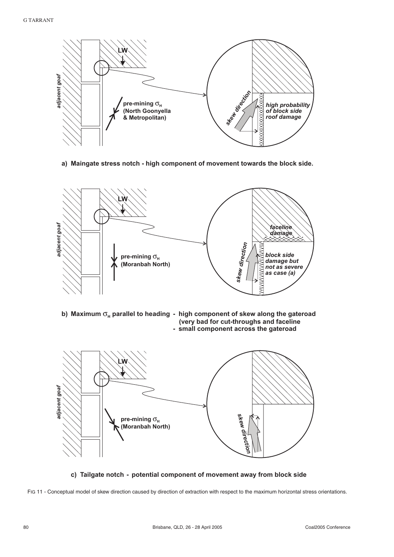

**a) Maingate stress notch - high component of movement towards the block side.**



**c) Tailgate notch - potential component of movement away from block side**

FIG 11 - Conceptual model of skew direction caused by direction of extraction with respect to the maximum horizontal stress orientations.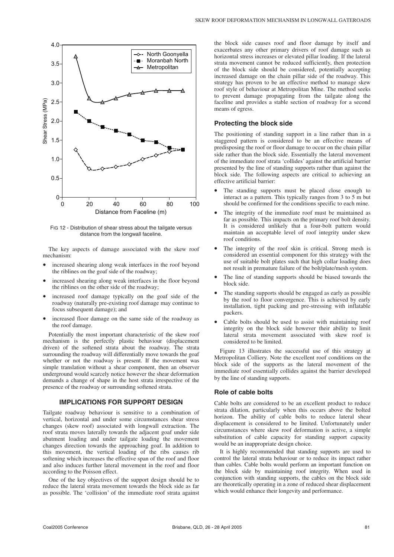

FIG 12 - Distribution of shear stress about the tailgate versus distance from the longwall faceline.

The key aspects of damage associated with the skew roof mechanism:

- increased shearing along weak interfaces in the roof beyond the riblines on the goaf side of the roadway;
- increased shearing along weak interfaces in the floor beyond the riblines on the other side of the roadway;
- increased roof damage typically on the goaf side of the roadway (naturally pre-existing roof damage may continue to focus subsequent damage); and
- increased floor damage on the same side of the roadway as the roof damage.

Potentially the most important characteristic of the skew roof mechanism is the perfectly plastic behaviour (displacement driven) of the softened strata about the roadway. The strata surrounding the roadway will differentially move towards the goaf whether or not the roadway is present. If the movement was simple translation without a shear component, then an observer underground would scarcely notice however the shear deformation demands a change of shape in the host strata irrespective of the presence of the roadway or surrounding softened strata.

### **IMPLICATIONS FOR SUPPORT DESIGN**

Tailgate roadway behaviour is sensitive to a combination of vertical, horizontal and under some circumstances shear stress changes (skew roof) associated with longwall extraction. The roof strata moves laterally towards the adjacent goaf under side abutment loading and under tailgate loading the movement changes direction towards the approaching goaf. In addition to this movement, the vertical loading of the ribs causes rib softening which increases the effective span of the roof and floor and also induces further lateral movement in the roof and floor according to the Poisson effect.

One of the key objectives of the support design should be to reduce the lateral strata movement towards the block side as far as possible. The 'collision' of the immediate roof strata against the block side causes roof and floor damage by itself and exacerbates any other primary drivers of roof damage such as horizontal stress increases or elevated pillar loading. If the lateral strata movement cannot be reduced sufficiently, then protection of the block side should be considered, potentially accepting increased damage on the chain pillar side of the roadway. This strategy has proven to be an effective method to manage skew roof style of behaviour at Metropolitan Mine. The method seeks to prevent damage propagating from the tailgate along the faceline and provides a stable section of roadway for a second means of egress.

## **Protecting the block side**

The positioning of standing support in a line rather than in a staggered pattern is considered to be an effective means of predisposing the roof or floor damage to occur on the chain pillar side rather than the block side. Essentially the lateral movement of the immediate roof strata 'collides' against the artificial barrier presented by the line of standing supports rather than against the block side. The following aspects are critical to achieving an effective artificial barrier:

- The standing supports must be placed close enough to interact as a pattern. This typically ranges from 3 to 5 m but should be confirmed for the conditions specific to each mine.
- The integrity of the immediate roof must be maintained as far as possible. This impacts on the primary roof bolt density. It is considered unlikely that a four-bolt pattern would maintain an acceptable level of roof integrity under skew roof conditions.
- The integrity of the roof skin is critical. Strong mesh is considered an essential component for this strategy with the use of suitable bolt plates such that high collar loading does not result in premature failure of the bolt/plate/mesh system.
- The line of standing supports should be biased towards the block side.
- The standing supports should be engaged as early as possible by the roof to floor convergence. This is achieved by early installation, tight packing and pre-stressing with inflatable packers.
- Cable bolts should be used to assist with maintaining roof integrity on the block side however their ability to limit lateral strata movement associated with skew roof is considered to be limited.

Figure 13 illustrates the successful use of this strategy at Metropolitan Colliery. Note the excellent roof conditions on the block side of the supports as the lateral movement of the immediate roof essentially collides against the barrier developed by the line of standing supports.

#### **Role of cable bolts**

Cable bolts are considered to be an excellent product to reduce strata dilation, particularly when this occurs above the bolted horizon. The ability of cable bolts to reduce lateral shear displacement is considered to be limited. Unfortunately under circumstances where skew roof deformation is active, a simple substitution of cable capacity for standing support capacity would be an inappropriate design choice.

It is highly recommended that standing supports are used to control the lateral strata behaviour or to reduce its impact rather than cables. Cable bolts would perform an important function on the block side by maintaining roof integrity. When used in conjunction with standing supports, the cables on the block side are theoretically operating in a zone of reduced shear displacement which would enhance their longevity and performance.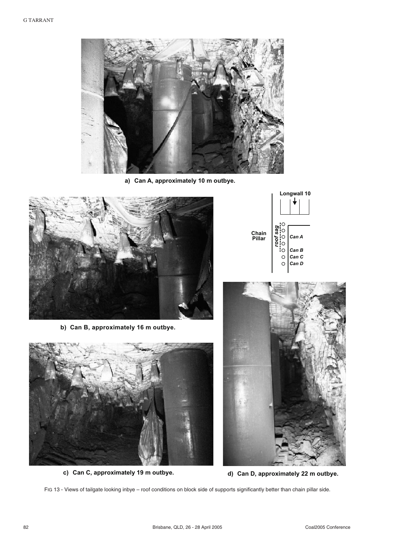

**a) Can A, approximately 10 m outbye.**



**b) Can B, approximately 16 m outbye.**



**c) Can C, approximately 19 m outbye. d) Can D, approximately 22 m outbye.**





FIG 13 - Views of tailgate looking inbye – roof conditions on block side of supports significantly better than chain pillar side.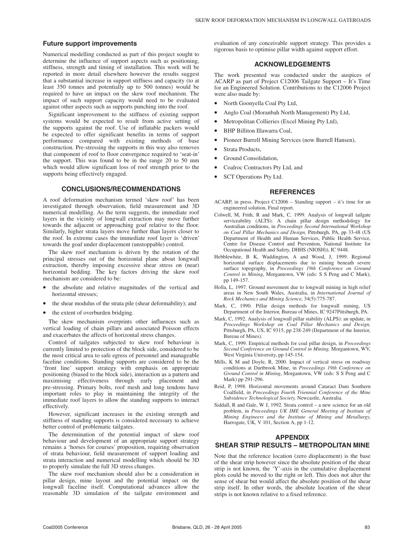#### **Future support improvements**

Numerical modelling conducted as part of this project sought to determine the influence of support aspects such as positioning, stiffness, strength and timing of installation. This work will be reported in more detail elsewhere however the results suggest that a substantial increase in support stiffness and capacity (to at least 350 tonnes and potentially up to 500 tonnes) would be required to have an impact on the skew roof mechanism. The impact of such support capacity would need to be evaluated against other aspects such as supports punching into the roof.

Significant improvement to the stiffness of existing support systems would be expected to result from active setting of the supports against the roof. Use of inflatable packers would be expected to offer significant benefits in terms of support performance compared with existing methods of base construction. Pre-stressing the supports in this way also removes that component of roof to floor convergence required to 'seat-in' the support. This was found to be in the range 20 to 50 mm which would allow significant loss of roof strength prior to the supports being effectively engaged.

#### **CONCLUSIONS/RECOMMENDATIONS**

A roof deformation mechanism termed 'skew roof' has been investigated through observation, field measurement and 3D numerical modelling. As the term suggests, the immediate roof layers in the vicinity of longwall extraction may move further towards the adjacent or approaching goaf relative to the floor. Similarly, higher strata layers move further than layers closer to the roof. In extreme cases the immediate roof layer is 'driven' towards the goaf under displacement (unstoppable) control.

The skew roof mechanism is driven by the rotation of the principal stresses out of the horizontal plane about longwall extraction, thereby imposing excessive shear stress on (near) horizontal bedding. The key factors driving the skew roof mechanism are considered to be:

- the absolute and relative magnitudes of the vertical and horizontal stresses;
- the shear modulus of the strata pile (shear deformability); and
- the extent of overburden bridging.

The skew mechanism overprints other influences such as vertical loading of chain pillars and associated Poisson effects and exacerbates the affects of horizontal stress changes.

Control of tailgates subjected to skew roof behaviour is currently limited to protection of the block side, considered to be the most critical area to safe egress of personnel and manageable faceline conditions. Standing supports are considered to be the 'front line' support strategy with emphasis on appropriate positioning (biased to the block side), interaction as a pattern and maximising effectiveness through early placement and pre-stressing. Primary bolts, roof mesh and long tendons have important roles to play in maintaining the integrity of the immediate roof layers to allow the standing supports to interact effectively.

However, significant increases in the existing strength and stiffness of standing supports is considered necessary to achieve better control of problematic tailgates.

The determination of the potential impact of skew roof behaviour and development of an appropriate support strategy remains a 'horses for courses' proposition, requiring observation of strata behaviour, field measurement of support loading and strata interaction and numerical modelling which should be 3D to properly simulate the full 3D stress changes.

The skew roof mechanism should also be a consideration in pillar design, mine layout and the potential impact on the longwall faceline itself. Computational advances allow the reasonable 3D simulation of the tailgate environment and evaluation of any conceivable support strategy. This provides a rigorous basis to optimise pillar width against support effort.

#### **ACKNOWLEDGEMENTS**

The work presented was conducted under the auspices of ACARP as part of Project C12006 Tailgate Support – It's Time for an Engineered Solution. Contributions to the C12006 Project were also made by:

- North Goonyella Coal Pty Ltd,
- Anglo Coal (Moranbah North Management) Pty Ltd,
- Metropolitan Collieries (Excel Mining Pty Ltd),
- BHP Billiton Illawarra Coal,
- Pioneer Burrell Mining Services (now Burrell Hansen),
- Strata Products,
- Ground Consolidation,
- Coalroc Contractors Pty Ltd, and
- SCT Operations Pty Ltd.

### **REFERENCES**

- ACARP, in press. Project C12006 Standing support it's time for an engineered solution, Final report.
- Colwell, M, Frith, R and Mark, C, 1999. Analysis of longwall tailgate serviceability (ALTS): A chain pillar design methodology for Australian conditions, in *Proceedings Second International Workshop on Coal Pillar Mechanics and Design,* Pittsburgh, PA, pp 33-48 (US Department of Health and Human Services, Public Health Service, Centre for Disease Control and Prevention, National Institute for Occupational Health and Safety, DHHS (NIOSH)), IC 9448.
- Hebblewhite, B K, Waddington, A and Wood, J, 1999. Regional horizontal surface displacements due to mining beneath severe surface topography, in *Proceedings 19th Conference on Ground Control in Mining*, Morgantown, VW (eds: S S Peng and C Mark), pp 149-157.
- Holla, L, 1997. Ground movement due to longwall mining in high relief areas in New South Wales, Australia, in *International Journal of Rock Mechanics and Mining Science*, 34(5):775-787.
- Mark, C, 1990. Pillar design methods for longwall mining, US Department of the Interior, Bureau of Mines, IC 9247Pittsburgh, PA.
- Mark, C, 1992. Analysis of longwall pillar stability (ALPS): an update, in *Proceedings Workshop on Coal Pillar Mechanics and Design,* Pittsburgh, PA, US, IC 9315, pp 238-249 (Department of the Interior, Bureau of Mines).
- Mark, C, 1999. Empirical methods for coal pillar design, in *Proceedings Second Conference on Ground Control in Mining,* Morgantown, WV, West Virginia University, pp 145-154.
- Mills, K M and Doyle, R, 2000. Impact of vertical stress on roadway conditions at Dartbrook Mine, in *Proceedings 19th Conference on Ground Control in Mining*, Morgantown, VW (eds: S S Peng and C Mark) pp 291-296.
- Reid, P, 1998. Horizontal movements around Cataract Dam Southern Coalfield, in *Proceedings Fourth Triennial Conference of the Mine Subsidence Technological Society,* Newcastle, Australia.
- Siddall, R and Gale, W J, 1992. Strata control a new science for an old problem, in *Proceedings UK IME General Meeting of Institute of Mining Engineers and the Institute of Mining and Metallurgy*, Harrogate, UK, V 101, Section A, pp 1-12.

## **APPENDIX**

## **SHEAR STRIP RESULTS – METROPOLITAN MINE**

Note that the reference location (zero displacement) is the base of the shear strip however since the absolute position of the shear strip is not known, the 'Y'-axis in the cumulative displacement plots could be moved to the right or left. This does not alter the sense of shear but would affect the absolute position of the shear strip itself. In other words, the absolute location of the shear strips is not known relative to a fixed reference.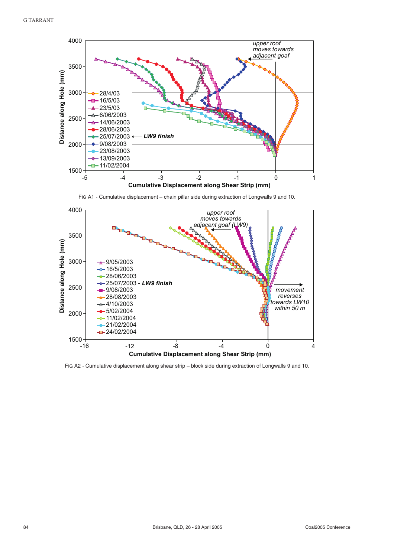

FIG A1 - Cumulative displacement – chain pillar side during extraction of Longwalls 9 and 10.



FIG A2 - Cumulative displacement along shear strip – block side during extraction of Longwalls 9 and 10.